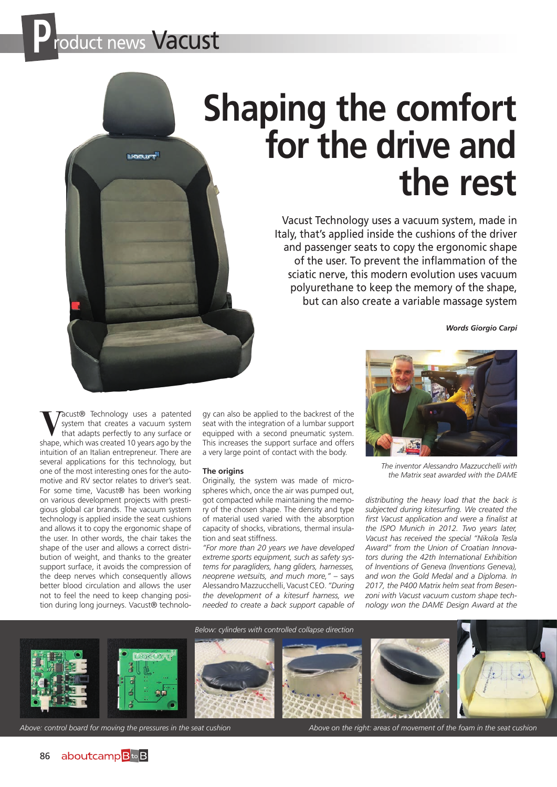## *duct news Vacust* **P**

**MOCULT** 

# **Shaping the comfort for the drive and the rest**

Vacust Technology uses a vacuum system, made in Italy, that's applied inside the cushions of the driver and passenger seats to copy the ergonomic shape of the user. To prevent the inflammation of the sciatic nerve, this modern evolution uses vacuum polyurethane to keep the memory of the shape, but can also create a variable massage system

*Words Giorgio Carpi*

**V**acust® Technology uses a patented system that creates a vacuum system that adapts perfectly to any surface or shape, which was created 10 years ago by the intuition of an Italian entrepreneur. There are several applications for this technology, but one of the most interesting ones for the automotive and RV sector relates to driver's seat. For some time, Vacust® has been working on various development projects with prestigious global car brands. The vacuum system technology is applied inside the seat cushions and allows it to copy the ergonomic shape of the user. In other words, the chair takes the shape of the user and allows a correct distribution of weight, and thanks to the greater support surface, it avoids the compression of the deep nerves which consequently allows better blood circulation and allows the user not to feel the need to keep changing position during long journeys. Vacust® technology can also be applied to the backrest of the seat with the integration of a lumbar support equipped with a second pneumatic system. This increases the support surface and offers a very large point of contact with the body.

#### **The origins**

Originally, the system was made of microspheres which, once the air was pumped out, got compacted while maintaining the memory of the chosen shape. The density and type of material used varied with the absorption capacity of shocks, vibrations, thermal insulation and seat stiffness.

*"For more than 20 years we have developed extreme sports equipment, such as safety systems for paragliders, hang gliders, harnesses, neoprene wetsuits, and much more,"* – says Alessandro Mazzucchelli, Vacust CEO. *"During the development of a kitesurf harness, we needed to create a back support capable of* 



*The inventor Alessandro Mazzucchelli with the Matrix seat awarded with the DAME*

*distributing the heavy load that the back is subjected during kitesurfing. We created the first Vacust application and were a finalist at the ISPO Munich in 2012. Two years later, Vacust has received the special "Nikola Tesla Award" from the Union of Croatian Innovators during the 42th International Exhibition of Inventions of Geneva (Inventions Geneva), and won the Gold Medal and a Diploma. In 2017, the P400 Matrix helm seat from Besenzoni with Vacust vacuum custom shape technology won the DAME Design Award at the* 



*Above: control board for moving the pressures in the seat cushion*

*Above on the right: areas of movement of the foam in the seat cushion*